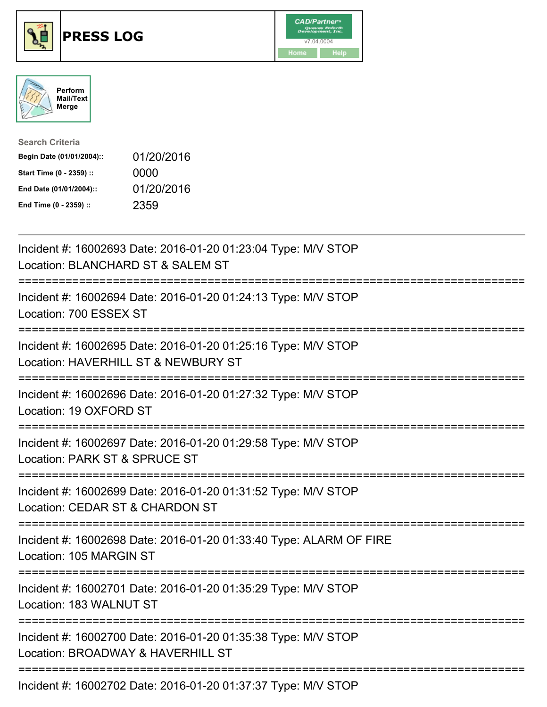





| <b>Search Criteria</b>    |            |
|---------------------------|------------|
| Begin Date (01/01/2004):: | 01/20/2016 |
| Start Time (0 - 2359) ::  | 0000       |
| End Date (01/01/2004)::   | 01/20/2016 |
| End Time (0 - 2359) ::    | 2359       |

| Incident #: 16002693 Date: 2016-01-20 01:23:04 Type: M/V STOP<br>Location: BLANCHARD ST & SALEM ST                                               |
|--------------------------------------------------------------------------------------------------------------------------------------------------|
| Incident #: 16002694 Date: 2016-01-20 01:24:13 Type: M/V STOP<br>Location: 700 ESSEX ST                                                          |
| Incident #: 16002695 Date: 2016-01-20 01:25:16 Type: M/V STOP<br>Location: HAVERHILL ST & NEWBURY ST                                             |
| Incident #: 16002696 Date: 2016-01-20 01:27:32 Type: M/V STOP<br>Location: 19 OXFORD ST<br>==================                                    |
| Incident #: 16002697 Date: 2016-01-20 01:29:58 Type: M/V STOP<br>Location: PARK ST & SPRUCE ST<br>===================<br>----------------------- |
| Incident #: 16002699 Date: 2016-01-20 01:31:52 Type: M/V STOP<br>Location: CEDAR ST & CHARDON ST<br>:========================<br>-----------     |
| Incident #: 16002698 Date: 2016-01-20 01:33:40 Type: ALARM OF FIRE<br>Location: 105 MARGIN ST                                                    |
| Incident #: 16002701 Date: 2016-01-20 01:35:29 Type: M/V STOP<br>Location: 183 WALNUT ST                                                         |
| Incident #: 16002700 Date: 2016-01-20 01:35:38 Type: M/V STOP<br>Location: BROADWAY & HAVERHILL ST                                               |
| ------------------------------------<br>Incident #: 16002702 Date: 2016-01-20 01:37:37 Type: M/V STOP                                            |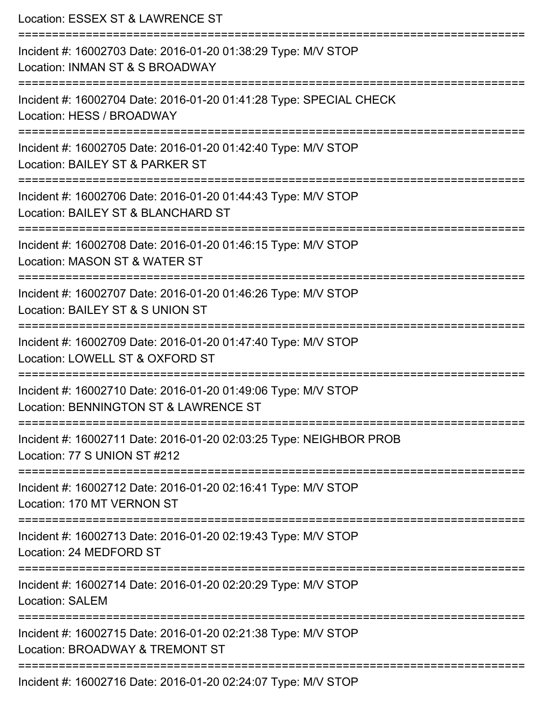| Location: ESSEX ST & LAWRENCE ST<br>:=========================                                                                          |
|-----------------------------------------------------------------------------------------------------------------------------------------|
| Incident #: 16002703 Date: 2016-01-20 01:38:29 Type: M/V STOP<br>Location: INMAN ST & S BROADWAY                                        |
| Incident #: 16002704 Date: 2016-01-20 01:41:28 Type: SPECIAL CHECK<br>Location: HESS / BROADWAY<br>==================================== |
| Incident #: 16002705 Date: 2016-01-20 01:42:40 Type: M/V STOP<br>Location: BAILEY ST & PARKER ST                                        |
| Incident #: 16002706 Date: 2016-01-20 01:44:43 Type: M/V STOP<br>Location: BAILEY ST & BLANCHARD ST                                     |
| Incident #: 16002708 Date: 2016-01-20 01:46:15 Type: M/V STOP<br>Location: MASON ST & WATER ST                                          |
| Incident #: 16002707 Date: 2016-01-20 01:46:26 Type: M/V STOP<br>Location: BAILEY ST & S UNION ST                                       |
| Incident #: 16002709 Date: 2016-01-20 01:47:40 Type: M/V STOP<br>Location: LOWELL ST & OXFORD ST                                        |
| Incident #: 16002710 Date: 2016-01-20 01:49:06 Type: M/V STOP<br>Location: BENNINGTON ST & LAWRENCE ST                                  |
| Incident #: 16002711 Date: 2016-01-20 02:03:25 Type: NEIGHBOR PROB<br>Location: 77 S UNION ST #212                                      |
| Incident #: 16002712 Date: 2016-01-20 02:16:41 Type: M/V STOP<br>Location: 170 MT VERNON ST                                             |
| Incident #: 16002713 Date: 2016-01-20 02:19:43 Type: M/V STOP<br>Location: 24 MEDFORD ST                                                |
| Incident #: 16002714 Date: 2016-01-20 02:20:29 Type: M/V STOP<br><b>Location: SALEM</b>                                                 |
| Incident #: 16002715 Date: 2016-01-20 02:21:38 Type: M/V STOP<br>Location: BROADWAY & TREMONT ST                                        |
| Incident #: 16002716 Date: 2016-01-20 02:24:07 Type: M/V STOP                                                                           |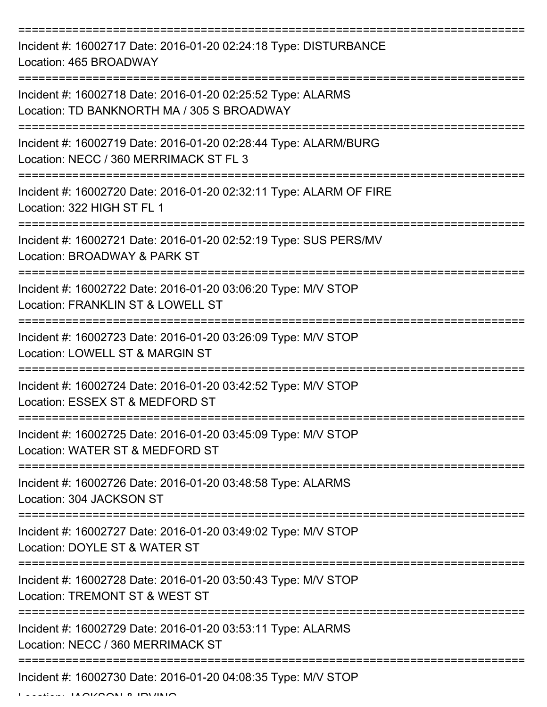=========================================================================== Incident #: 16002717 Date: 2016-01-20 02:24:18 Type: DISTURBANCE Location: 465 BROADWAY =========================================================================== Incident #: 16002718 Date: 2016-01-20 02:25:52 Type: ALARMS Location: TD BANKNORTH MA / 305 S BROADWAY =========================================================================== Incident #: 16002719 Date: 2016-01-20 02:28:44 Type: ALARM/BURG Location: NECC / 360 MERRIMACK ST FL 3 =========================================================================== Incident #: 16002720 Date: 2016-01-20 02:32:11 Type: ALARM OF FIRE Location: 322 HIGH ST FL 1 =========================================================================== Incident #: 16002721 Date: 2016-01-20 02:52:19 Type: SUS PERS/MV Location: BROADWAY & PARK ST =========================================================================== Incident #: 16002722 Date: 2016-01-20 03:06:20 Type: M/V STOP Location: FRANKLIN ST & LOWELL ST =========================================================================== Incident #: 16002723 Date: 2016-01-20 03:26:09 Type: M/V STOP Location: LOWELL ST & MARGIN ST =========================================================================== Incident #: 16002724 Date: 2016-01-20 03:42:52 Type: M/V STOP Location: ESSEX ST & MEDFORD ST =========================================================================== Incident #: 16002725 Date: 2016-01-20 03:45:09 Type: M/V STOP Location: WATER ST & MEDFORD ST =========================================================================== Incident #: 16002726 Date: 2016-01-20 03:48:58 Type: ALARMS Location: 304 JACKSON ST =========================================================================== Incident #: 16002727 Date: 2016-01-20 03:49:02 Type: M/V STOP Location: DOYLE ST & WATER ST =========================================================================== Incident #: 16002728 Date: 2016-01-20 03:50:43 Type: M/V STOP Location: TREMONT ST & WEST ST =========================================================================== Incident #: 16002729 Date: 2016-01-20 03:53:11 Type: ALARMS Location: NECC / 360 MERRIMACK ST =========================================================================== Incident #: 16002730 Date: 2016-01-20 04:08:35 Type: M/V STOP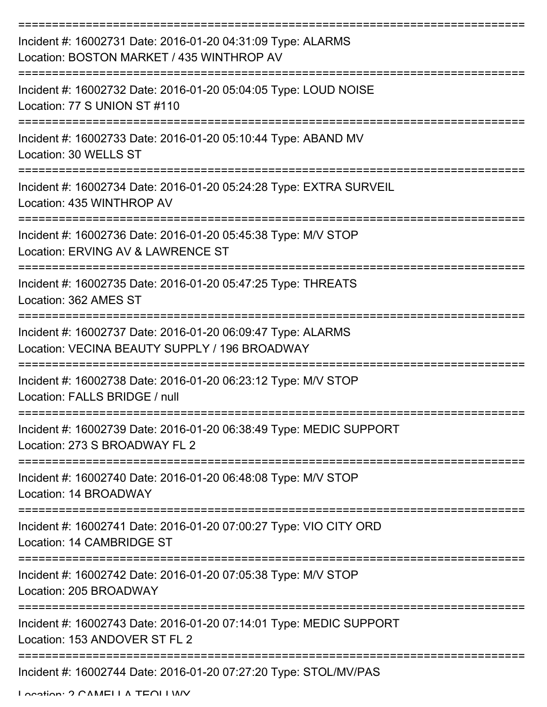| Incident #: 16002731 Date: 2016-01-20 04:31:09 Type: ALARMS<br>Location: BOSTON MARKET / 435 WINTHROP AV     |
|--------------------------------------------------------------------------------------------------------------|
| Incident #: 16002732 Date: 2016-01-20 05:04:05 Type: LOUD NOISE<br>Location: 77 S UNION ST #110              |
| Incident #: 16002733 Date: 2016-01-20 05:10:44 Type: ABAND MV<br>Location: 30 WELLS ST                       |
| Incident #: 16002734 Date: 2016-01-20 05:24:28 Type: EXTRA SURVEIL<br>Location: 435 WINTHROP AV              |
| Incident #: 16002736 Date: 2016-01-20 05:45:38 Type: M/V STOP<br>Location: ERVING AV & LAWRENCE ST           |
| Incident #: 16002735 Date: 2016-01-20 05:47:25 Type: THREATS<br>Location: 362 AMES ST                        |
| Incident #: 16002737 Date: 2016-01-20 06:09:47 Type: ALARMS<br>Location: VECINA BEAUTY SUPPLY / 196 BROADWAY |
| Incident #: 16002738 Date: 2016-01-20 06:23:12 Type: M/V STOP<br>Location: FALLS BRIDGE / null               |
| Incident #: 16002739 Date: 2016-01-20 06:38:49 Type: MEDIC SUPPORT<br>Location: 273 S BROADWAY FL 2          |
| Incident #: 16002740 Date: 2016-01-20 06:48:08 Type: M/V STOP<br>Location: 14 BROADWAY                       |
| Incident #: 16002741 Date: 2016-01-20 07:00:27 Type: VIO CITY ORD<br>Location: 14 CAMBRIDGE ST               |
| Incident #: 16002742 Date: 2016-01-20 07:05:38 Type: M/V STOP<br>Location: 205 BROADWAY                      |
| Incident #: 16002743 Date: 2016-01-20 07:14:01 Type: MEDIC SUPPORT<br>Location: 153 ANDOVER ST FL 2          |
| Incident #: 16002744 Date: 2016-01-20 07:27:20 Type: STOL/MV/PAS                                             |

Location: 2 CAMELLA TEOLI WY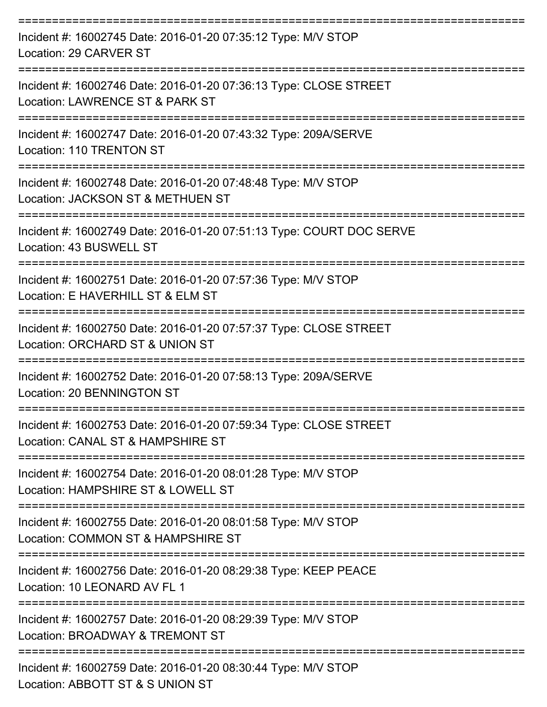| Incident #: 16002745 Date: 2016-01-20 07:35:12 Type: M/V STOP<br>Location: 29 CARVER ST                |
|--------------------------------------------------------------------------------------------------------|
| Incident #: 16002746 Date: 2016-01-20 07:36:13 Type: CLOSE STREET<br>Location: LAWRENCE ST & PARK ST   |
| Incident #: 16002747 Date: 2016-01-20 07:43:32 Type: 209A/SERVE<br><b>Location: 110 TRENTON ST</b>     |
| Incident #: 16002748 Date: 2016-01-20 07:48:48 Type: M/V STOP<br>Location: JACKSON ST & METHUEN ST     |
| Incident #: 16002749 Date: 2016-01-20 07:51:13 Type: COURT DOC SERVE<br>Location: 43 BUSWELL ST        |
| Incident #: 16002751 Date: 2016-01-20 07:57:36 Type: M/V STOP<br>Location: E HAVERHILL ST & ELM ST     |
| Incident #: 16002750 Date: 2016-01-20 07:57:37 Type: CLOSE STREET<br>Location: ORCHARD ST & UNION ST   |
| Incident #: 16002752 Date: 2016-01-20 07:58:13 Type: 209A/SERVE<br>Location: 20 BENNINGTON ST          |
| Incident #: 16002753 Date: 2016-01-20 07:59:34 Type: CLOSE STREET<br>Location: CANAL ST & HAMPSHIRE ST |
| Incident #: 16002754 Date: 2016-01-20 08:01:28 Type: M/V STOP<br>Location: HAMPSHIRE ST & LOWELL ST    |
| Incident #: 16002755 Date: 2016-01-20 08:01:58 Type: M/V STOP<br>Location: COMMON ST & HAMPSHIRE ST    |
| Incident #: 16002756 Date: 2016-01-20 08:29:38 Type: KEEP PEACE<br>Location: 10 LEONARD AV FL 1        |
| Incident #: 16002757 Date: 2016-01-20 08:29:39 Type: M/V STOP<br>Location: BROADWAY & TREMONT ST       |
| Incident #: 16002759 Date: 2016-01-20 08:30:44 Type: M/V STOP<br>$\sqrt{2}$                            |

Location: ABBOTT ST & S UNION ST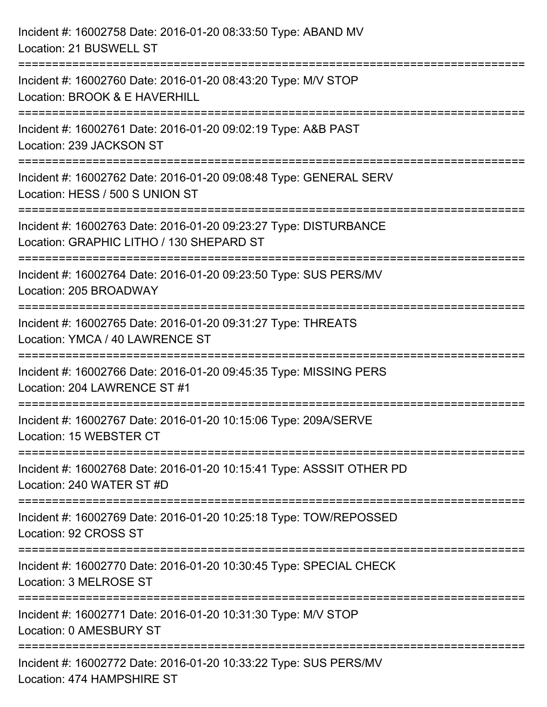| Incident #: 16002758 Date: 2016-01-20 08:33:50 Type: ABAND MV<br>Location: 21 BUSWELL ST                                          |
|-----------------------------------------------------------------------------------------------------------------------------------|
| Incident #: 16002760 Date: 2016-01-20 08:43:20 Type: M/V STOP<br>Location: BROOK & E HAVERHILL                                    |
| Incident #: 16002761 Date: 2016-01-20 09:02:19 Type: A&B PAST<br>Location: 239 JACKSON ST<br>:=================================== |
| Incident #: 16002762 Date: 2016-01-20 09:08:48 Type: GENERAL SERV<br>Location: HESS / 500 S UNION ST                              |
| Incident #: 16002763 Date: 2016-01-20 09:23:27 Type: DISTURBANCE<br>Location: GRAPHIC LITHO / 130 SHEPARD ST                      |
| Incident #: 16002764 Date: 2016-01-20 09:23:50 Type: SUS PERS/MV<br>Location: 205 BROADWAY                                        |
| Incident #: 16002765 Date: 2016-01-20 09:31:27 Type: THREATS<br>Location: YMCA / 40 LAWRENCE ST                                   |
| Incident #: 16002766 Date: 2016-01-20 09:45:35 Type: MISSING PERS<br>Location: 204 LAWRENCE ST #1                                 |
| Incident #: 16002767 Date: 2016-01-20 10:15:06 Type: 209A/SERVE<br>Location: 15 WEBSTER CT                                        |
| Incident #: 16002768 Date: 2016-01-20 10:15:41 Type: ASSSIT OTHER PD<br>Location: 240 WATER ST #D                                 |
| Incident #: 16002769 Date: 2016-01-20 10:25:18 Type: TOW/REPOSSED<br>Location: 92 CROSS ST                                        |
| Incident #: 16002770 Date: 2016-01-20 10:30:45 Type: SPECIAL CHECK<br>Location: 3 MELROSE ST                                      |
| Incident #: 16002771 Date: 2016-01-20 10:31:30 Type: M/V STOP<br>Location: 0 AMESBURY ST                                          |
| Incident #: 16002772 Date: 2016-01-20 10:33:22 Type: SUS PERS/MV<br>Location: 474 HAMPSHIRE ST                                    |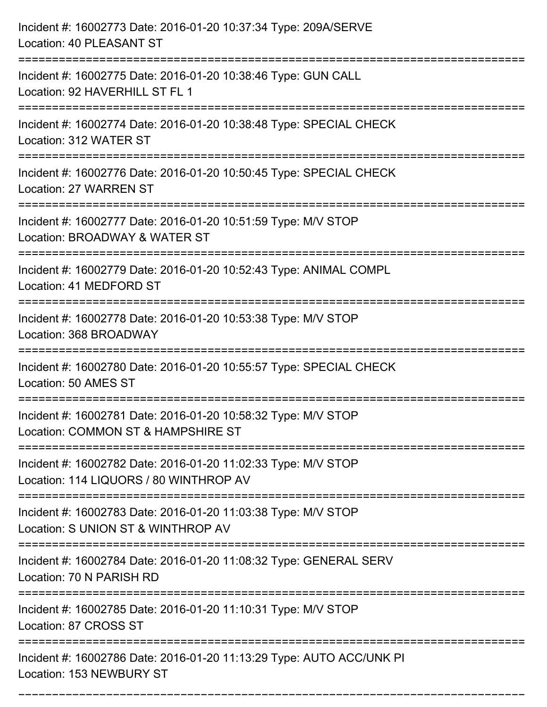| Incident #: 16002773 Date: 2016-01-20 10:37:34 Type: 209A/SERVE<br><b>Location: 40 PLEASANT ST</b>                    |
|-----------------------------------------------------------------------------------------------------------------------|
| Incident #: 16002775 Date: 2016-01-20 10:38:46 Type: GUN CALL<br>Location: 92 HAVERHILL ST FL 1                       |
| Incident #: 16002774 Date: 2016-01-20 10:38:48 Type: SPECIAL CHECK<br>Location: 312 WATER ST                          |
| Incident #: 16002776 Date: 2016-01-20 10:50:45 Type: SPECIAL CHECK<br>Location: 27 WARREN ST                          |
| Incident #: 16002777 Date: 2016-01-20 10:51:59 Type: M/V STOP<br>Location: BROADWAY & WATER ST<br>----------------    |
| Incident #: 16002779 Date: 2016-01-20 10:52:43 Type: ANIMAL COMPL<br>Location: 41 MEDFORD ST                          |
| Incident #: 16002778 Date: 2016-01-20 10:53:38 Type: M/V STOP<br>Location: 368 BROADWAY<br>========================== |
| Incident #: 16002780 Date: 2016-01-20 10:55:57 Type: SPECIAL CHECK<br>Location: 50 AMES ST                            |
| Incident #: 16002781 Date: 2016-01-20 10:58:32 Type: M/V STOP<br>Location: COMMON ST & HAMPSHIRE ST                   |
| Incident #: 16002782 Date: 2016-01-20 11:02:33 Type: M/V STOP<br>Location: 114 LIQUORS / 80 WINTHROP AV               |
| Incident #: 16002783 Date: 2016-01-20 11:03:38 Type: M/V STOP<br>Location: S UNION ST & WINTHROP AV                   |
| Incident #: 16002784 Date: 2016-01-20 11:08:32 Type: GENERAL SERV<br>Location: 70 N PARISH RD                         |
| Incident #: 16002785 Date: 2016-01-20 11:10:31 Type: M/V STOP<br>Location: 87 CROSS ST                                |
| Incident #: 16002786 Date: 2016-01-20 11:13:29 Type: AUTO ACC/UNK PI<br>Location: 153 NEWBURY ST                      |

===========================================================================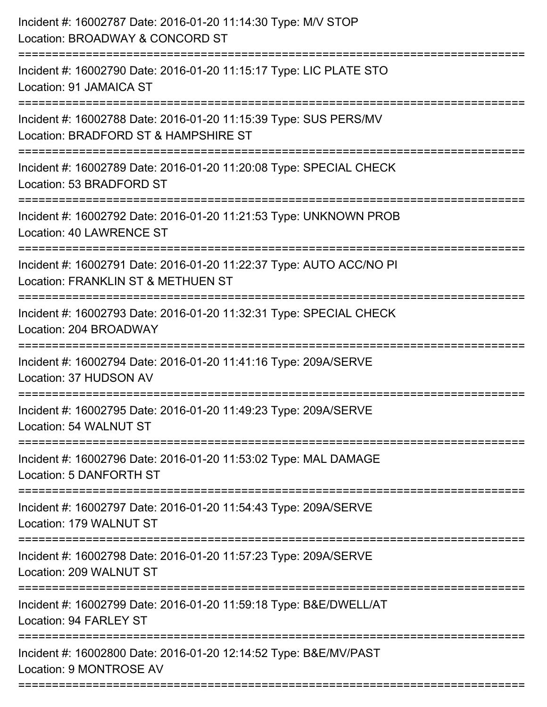| Incident #: 16002787 Date: 2016-01-20 11:14:30 Type: M/V STOP<br>Location: BROADWAY & CONCORD ST<br>===================                      |
|----------------------------------------------------------------------------------------------------------------------------------------------|
| Incident #: 16002790 Date: 2016-01-20 11:15:17 Type: LIC PLATE STO<br>Location: 91 JAMAICA ST                                                |
| Incident #: 16002788 Date: 2016-01-20 11:15:39 Type: SUS PERS/MV<br>Location: BRADFORD ST & HAMPSHIRE ST<br>================================ |
| Incident #: 16002789 Date: 2016-01-20 11:20:08 Type: SPECIAL CHECK<br>Location: 53 BRADFORD ST                                               |
| Incident #: 16002792 Date: 2016-01-20 11:21:53 Type: UNKNOWN PROB<br>Location: 40 LAWRENCE ST<br>==================================          |
| Incident #: 16002791 Date: 2016-01-20 11:22:37 Type: AUTO ACC/NO PI<br>Location: FRANKLIN ST & METHUEN ST                                    |
| Incident #: 16002793 Date: 2016-01-20 11:32:31 Type: SPECIAL CHECK<br>Location: 204 BROADWAY                                                 |
| Incident #: 16002794 Date: 2016-01-20 11:41:16 Type: 209A/SERVE<br>Location: 37 HUDSON AV                                                    |
| Incident #: 16002795 Date: 2016-01-20 11:49:23 Type: 209A/SERVE<br>Location: 54 WALNUT ST                                                    |
| Incident #: 16002796 Date: 2016-01-20 11:53:02 Type: MAL DAMAGE<br><b>Location: 5 DANFORTH ST</b>                                            |
| Incident #: 16002797 Date: 2016-01-20 11:54:43 Type: 209A/SERVE<br>Location: 179 WALNUT ST                                                   |
| Incident #: 16002798 Date: 2016-01-20 11:57:23 Type: 209A/SERVE<br>Location: 209 WALNUT ST                                                   |
| Incident #: 16002799 Date: 2016-01-20 11:59:18 Type: B&E/DWELL/AT<br>Location: 94 FARLEY ST                                                  |
| Incident #: 16002800 Date: 2016-01-20 12:14:52 Type: B&E/MV/PAST<br>Location: 9 MONTROSE AV                                                  |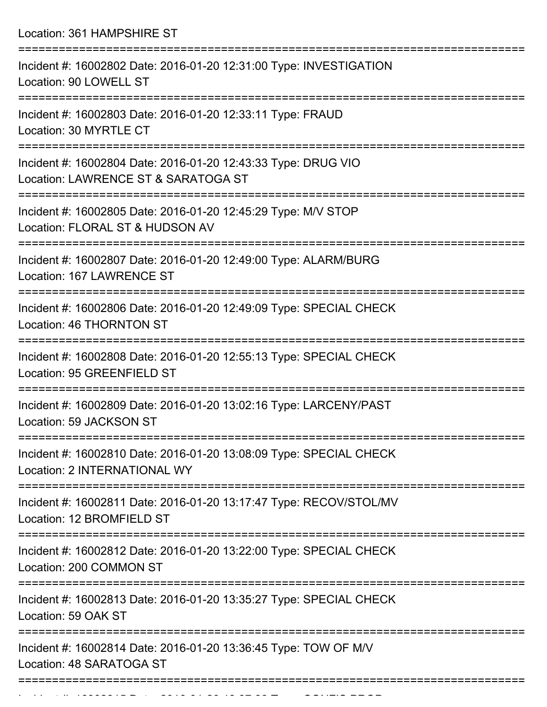Location: 361 HAMPSHIRE ST =========================================================================== Incident #: 16002802 Date: 2016-01-20 12:31:00 Type: INVESTIGATION Location: 90 LOWELL ST =========================================================================== Incident #: 16002803 Date: 2016-01-20 12:33:11 Type: FRAUD Location: 30 MYRTLE CT =========================================================================== Incident #: 16002804 Date: 2016-01-20 12:43:33 Type: DRUG VIO Location: LAWRENCE ST & SARATOGA ST =========================================================================== Incident #: 16002805 Date: 2016-01-20 12:45:29 Type: M/V STOP Location: FLORAL ST & HUDSON AV =========================================================================== Incident #: 16002807 Date: 2016-01-20 12:49:00 Type: ALARM/BURG Location: 167 LAWRENCE ST =========================================================================== Incident #: 16002806 Date: 2016-01-20 12:49:09 Type: SPECIAL CHECK Location: 46 THORNTON ST =========================================================================== Incident #: 16002808 Date: 2016-01-20 12:55:13 Type: SPECIAL CHECK Location: 95 GREENFIELD ST =========================================================================== Incident #: 16002809 Date: 2016-01-20 13:02:16 Type: LARCENY/PAST Location: 59 JACKSON ST =========================================================================== Incident #: 16002810 Date: 2016-01-20 13:08:09 Type: SPECIAL CHECK Location: 2 INTERNATIONAL WY =========================================================================== Incident #: 16002811 Date: 2016-01-20 13:17:47 Type: RECOV/STOL/MV Location: 12 BROMFIELD ST =========================================================================== Incident #: 16002812 Date: 2016-01-20 13:22:00 Type: SPECIAL CHECK Location: 200 COMMON ST =========================================================================== Incident #: 16002813 Date: 2016-01-20 13:35:27 Type: SPECIAL CHECK Location: 59 OAK ST =========================================================================== Incident #: 16002814 Date: 2016-01-20 13:36:45 Type: TOW OF M/V Location: 48 SARATOGA ST ===========================================================================

Incident #: 16002815 Date: 2016 01 2016 01 2016 02028 Type: CONFIS PROPERTY AND INCIDENT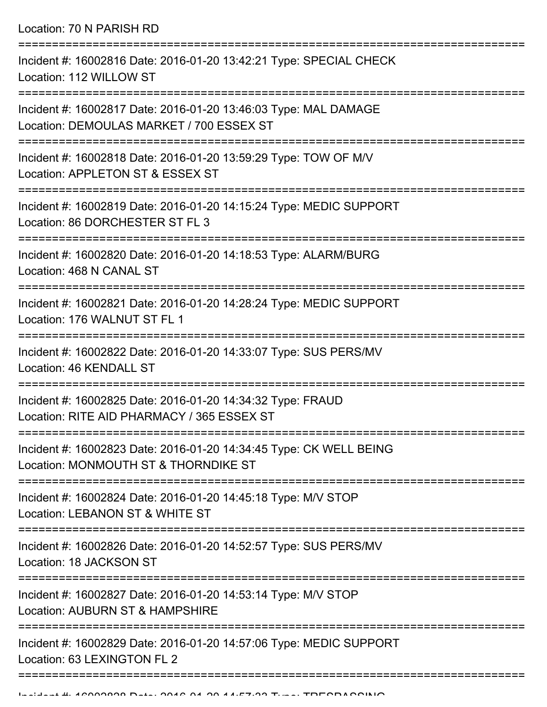Location: 70 N PARISH RD

| Incident #: 16002816 Date: 2016-01-20 13:42:21 Type: SPECIAL CHECK<br>Location: 112 WILLOW ST               |
|-------------------------------------------------------------------------------------------------------------|
| Incident #: 16002817 Date: 2016-01-20 13:46:03 Type: MAL DAMAGE<br>Location: DEMOULAS MARKET / 700 ESSEX ST |
| Incident #: 16002818 Date: 2016-01-20 13:59:29 Type: TOW OF M/V<br>Location: APPLETON ST & ESSEX ST         |
| Incident #: 16002819 Date: 2016-01-20 14:15:24 Type: MEDIC SUPPORT<br>Location: 86 DORCHESTER ST FL 3       |
| Incident #: 16002820 Date: 2016-01-20 14:18:53 Type: ALARM/BURG<br>Location: 468 N CANAL ST                 |
| Incident #: 16002821 Date: 2016-01-20 14:28:24 Type: MEDIC SUPPORT<br>Location: 176 WALNUT ST FL 1          |
| Incident #: 16002822 Date: 2016-01-20 14:33:07 Type: SUS PERS/MV<br>Location: 46 KENDALL ST                 |
| Incident #: 16002825 Date: 2016-01-20 14:34:32 Type: FRAUD<br>Location: RITE AID PHARMACY / 365 ESSEX ST    |
| Incident #: 16002823 Date: 2016-01-20 14:34:45 Type: CK WELL BEING<br>Location: MONMOUTH ST & THORNDIKE ST  |
| Incident #: 16002824 Date: 2016-01-20 14:45:18 Type: M/V STOP<br>Location: LEBANON ST & WHITE ST            |
| Incident #: 16002826 Date: 2016-01-20 14:52:57 Type: SUS PERS/MV<br>Location: 18 JACKSON ST                 |
| Incident #: 16002827 Date: 2016-01-20 14:53:14 Type: M/V STOP<br>Location: AUBURN ST & HAMPSHIRE            |
| Incident #: 16002829 Date: 2016-01-20 14:57:06 Type: MEDIC SUPPORT<br>Location: 63 LEXINGTON FL 2           |
|                                                                                                             |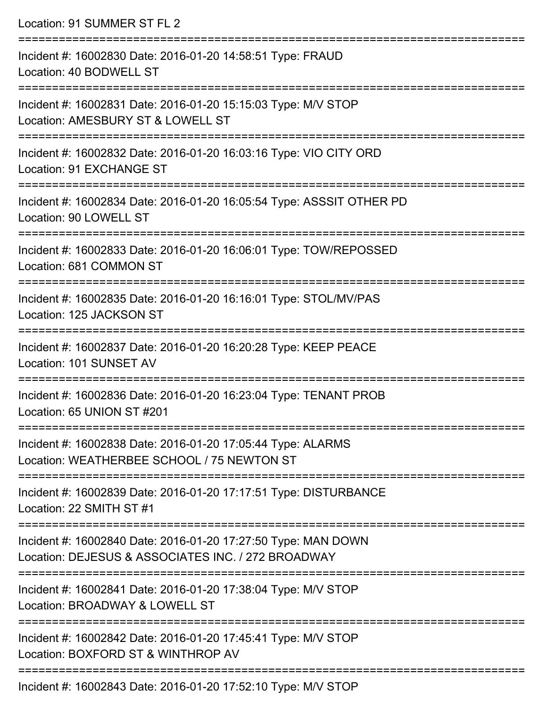| Location: 91 SUMMER ST FL 2                                                                                                        |
|------------------------------------------------------------------------------------------------------------------------------------|
| Incident #: 16002830 Date: 2016-01-20 14:58:51 Type: FRAUD<br>Location: 40 BODWELL ST                                              |
| Incident #: 16002831 Date: 2016-01-20 15:15:03 Type: M/V STOP<br>Location: AMESBURY ST & LOWELL ST<br>============================ |
| Incident #: 16002832 Date: 2016-01-20 16:03:16 Type: VIO CITY ORD<br>Location: 91 EXCHANGE ST                                      |
| Incident #: 16002834 Date: 2016-01-20 16:05:54 Type: ASSSIT OTHER PD<br>Location: 90 LOWELL ST                                     |
| Incident #: 16002833 Date: 2016-01-20 16:06:01 Type: TOW/REPOSSED<br>Location: 681 COMMON ST                                       |
| Incident #: 16002835 Date: 2016-01-20 16:16:01 Type: STOL/MV/PAS<br>Location: 125 JACKSON ST                                       |
| Incident #: 16002837 Date: 2016-01-20 16:20:28 Type: KEEP PEACE<br>Location: 101 SUNSET AV                                         |
| Incident #: 16002836 Date: 2016-01-20 16:23:04 Type: TENANT PROB<br>Location: 65 UNION ST #201                                     |
| Incident #: 16002838 Date: 2016-01-20 17:05:44 Type: ALARMS<br>Location: WEATHERBEE SCHOOL / 75 NEWTON ST                          |
| Incident #: 16002839 Date: 2016-01-20 17:17:51 Type: DISTURBANCE<br>Location: 22 SMITH ST #1                                       |
| Incident #: 16002840 Date: 2016-01-20 17:27:50 Type: MAN DOWN<br>Location: DEJESUS & ASSOCIATES INC. / 272 BROADWAY                |
| Incident #: 16002841 Date: 2016-01-20 17:38:04 Type: M/V STOP<br>Location: BROADWAY & LOWELL ST                                    |
| Incident #: 16002842 Date: 2016-01-20 17:45:41 Type: M/V STOP<br>Location: BOXFORD ST & WINTHROP AV                                |
| Incident #: 16000012 Dete: 2016 01:20:10 17:50:10 Type: MAI CTOD                                                                   |

Incident #: 16002843 Date: 2016-01-20 17:52:10 Type: M/V STOP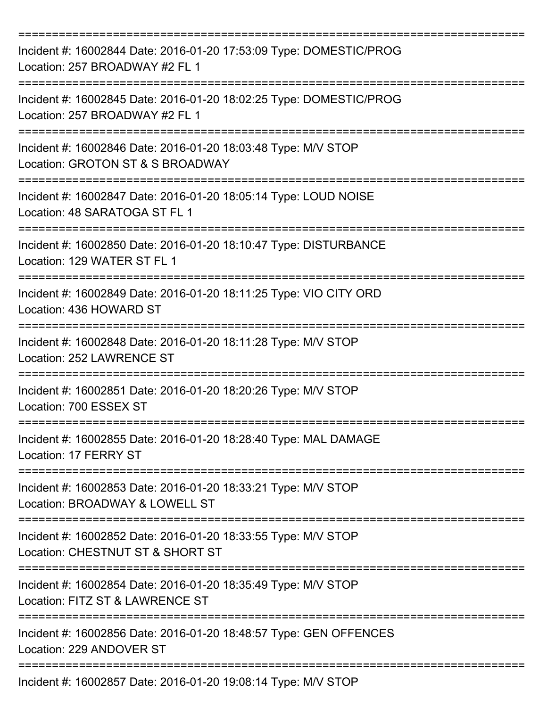| Incident #: 16002844 Date: 2016-01-20 17:53:09 Type: DOMESTIC/PROG<br>Location: 257 BROADWAY #2 FL 1                         |
|------------------------------------------------------------------------------------------------------------------------------|
| Incident #: 16002845 Date: 2016-01-20 18:02:25 Type: DOMESTIC/PROG<br>Location: 257 BROADWAY #2 FL 1                         |
| Incident #: 16002846 Date: 2016-01-20 18:03:48 Type: M/V STOP<br>Location: GROTON ST & S BROADWAY<br>======================= |
| Incident #: 16002847 Date: 2016-01-20 18:05:14 Type: LOUD NOISE<br>Location: 48 SARATOGA ST FL 1                             |
| Incident #: 16002850 Date: 2016-01-20 18:10:47 Type: DISTURBANCE<br>Location: 129 WATER ST FL 1                              |
| Incident #: 16002849 Date: 2016-01-20 18:11:25 Type: VIO CITY ORD<br>Location: 436 HOWARD ST<br>==========================   |
| Incident #: 16002848 Date: 2016-01-20 18:11:28 Type: M/V STOP<br>Location: 252 LAWRENCE ST                                   |
| Incident #: 16002851 Date: 2016-01-20 18:20:26 Type: M/V STOP<br>Location: 700 ESSEX ST                                      |
| Incident #: 16002855 Date: 2016-01-20 18:28:40 Type: MAL DAMAGE<br>Location: 17 FERRY ST                                     |
| Incident #: 16002853 Date: 2016-01-20 18:33:21 Type: M/V STOP<br>Location: BROADWAY & LOWELL ST                              |
| Incident #: 16002852 Date: 2016-01-20 18:33:55 Type: M/V STOP<br>Location: CHESTNUT ST & SHORT ST                            |
| Incident #: 16002854 Date: 2016-01-20 18:35:49 Type: M/V STOP<br>Location: FITZ ST & LAWRENCE ST                             |
| Incident #: 16002856 Date: 2016-01-20 18:48:57 Type: GEN OFFENCES<br>Location: 229 ANDOVER ST                                |
| Incident #: 16002857 Date: 2016-01-20 19:08:14 Type: M/V STOP                                                                |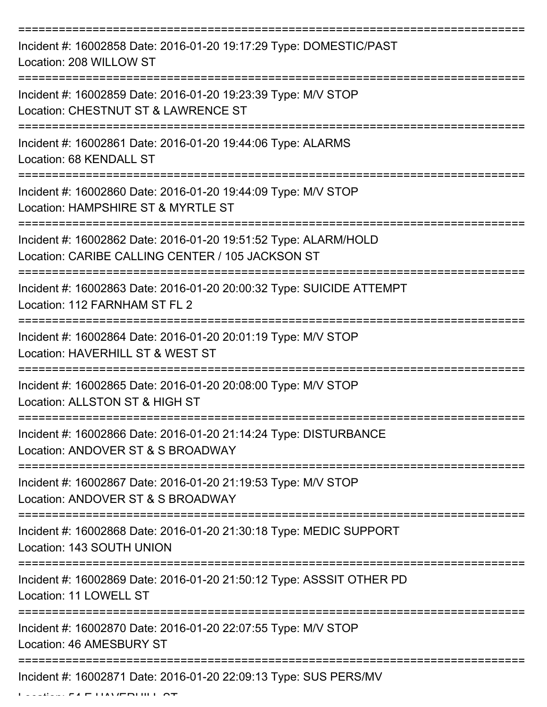| Incident #: 16002858 Date: 2016-01-20 19:17:29 Type: DOMESTIC/PAST<br>Location: 208 WILLOW ST                                     |
|-----------------------------------------------------------------------------------------------------------------------------------|
| Incident #: 16002859 Date: 2016-01-20 19:23:39 Type: M/V STOP<br>Location: CHESTNUT ST & LAWRENCE ST                              |
| Incident #: 16002861 Date: 2016-01-20 19:44:06 Type: ALARMS<br>Location: 68 KENDALL ST                                            |
| Incident #: 16002860 Date: 2016-01-20 19:44:09 Type: M/V STOP<br>Location: HAMPSHIRE ST & MYRTLE ST                               |
| Incident #: 16002862 Date: 2016-01-20 19:51:52 Type: ALARM/HOLD<br>Location: CARIBE CALLING CENTER / 105 JACKSON ST               |
| :=======================<br>Incident #: 16002863 Date: 2016-01-20 20:00:32 Type: SUICIDE ATTEMPT<br>Location: 112 FARNHAM ST FL 2 |
| Incident #: 16002864 Date: 2016-01-20 20:01:19 Type: M/V STOP<br>Location: HAVERHILL ST & WEST ST                                 |
| Incident #: 16002865 Date: 2016-01-20 20:08:00 Type: M/V STOP<br>Location: ALLSTON ST & HIGH ST                                   |
| Incident #: 16002866 Date: 2016-01-20 21:14:24 Type: DISTURBANCE<br>Location: ANDOVER ST & S BROADWAY                             |
| Incident #: 16002867 Date: 2016-01-20 21:19:53 Type: M/V STOP<br>Location: ANDOVER ST & S BROADWAY                                |
| Incident #: 16002868 Date: 2016-01-20 21:30:18 Type: MEDIC SUPPORT<br>Location: 143 SOUTH UNION                                   |
| Incident #: 16002869 Date: 2016-01-20 21:50:12 Type: ASSSIT OTHER PD<br>Location: 11 LOWELL ST                                    |
| Incident #: 16002870 Date: 2016-01-20 22:07:55 Type: M/V STOP<br>Location: 46 AMESBURY ST                                         |
| Incident #: 16002871 Date: 2016-01-20 22:09:13 Type: SUS PERS/MV                                                                  |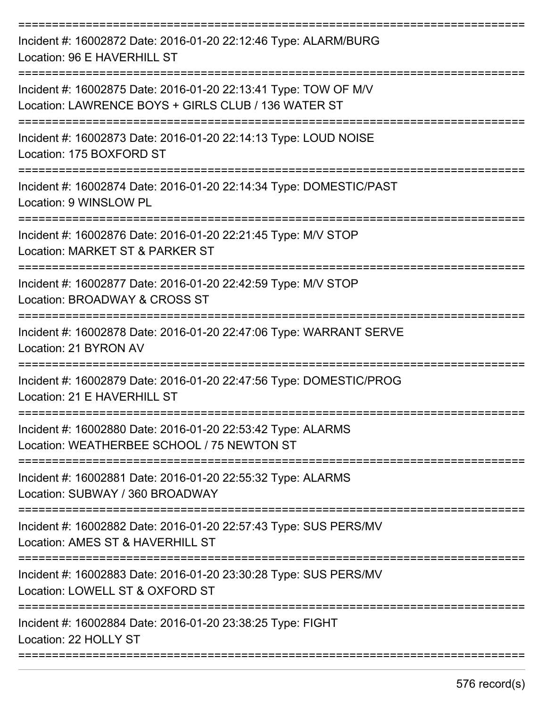| Incident #: 16002872 Date: 2016-01-20 22:12:46 Type: ALARM/BURG<br>Location: 96 E HAVERHILL ST                         |
|------------------------------------------------------------------------------------------------------------------------|
| Incident #: 16002875 Date: 2016-01-20 22:13:41 Type: TOW OF M/V<br>Location: LAWRENCE BOYS + GIRLS CLUB / 136 WATER ST |
| Incident #: 16002873 Date: 2016-01-20 22:14:13 Type: LOUD NOISE<br>Location: 175 BOXFORD ST                            |
| Incident #: 16002874 Date: 2016-01-20 22:14:34 Type: DOMESTIC/PAST<br>Location: 9 WINSLOW PL                           |
| Incident #: 16002876 Date: 2016-01-20 22:21:45 Type: M/V STOP<br>Location: MARKET ST & PARKER ST                       |
| Incident #: 16002877 Date: 2016-01-20 22:42:59 Type: M/V STOP<br>Location: BROADWAY & CROSS ST                         |
| Incident #: 16002878 Date: 2016-01-20 22:47:06 Type: WARRANT SERVE<br>Location: 21 BYRON AV                            |
| Incident #: 16002879 Date: 2016-01-20 22:47:56 Type: DOMESTIC/PROG<br>Location: 21 E HAVERHILL ST                      |
| Incident #: 16002880 Date: 2016-01-20 22:53:42 Type: ALARMS<br>Location: WEATHERBEE SCHOOL / 75 NEWTON ST              |
| Incident #: 16002881 Date: 2016-01-20 22:55:32 Type: ALARMS<br>Location: SUBWAY / 360 BROADWAY                         |
| Incident #: 16002882 Date: 2016-01-20 22:57:43 Type: SUS PERS/MV<br>Location: AMES ST & HAVERHILL ST                   |
| Incident #: 16002883 Date: 2016-01-20 23:30:28 Type: SUS PERS/MV<br>Location: LOWELL ST & OXFORD ST                    |
| Incident #: 16002884 Date: 2016-01-20 23:38:25 Type: FIGHT<br>Location: 22 HOLLY ST                                    |
|                                                                                                                        |